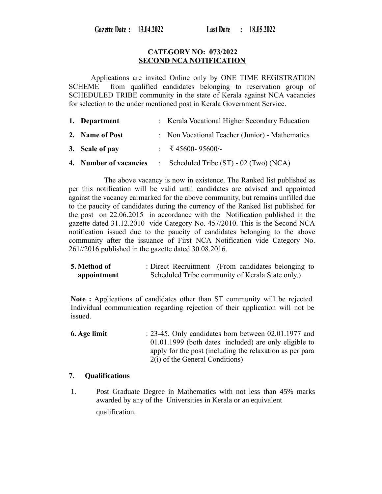Gazette Date: 13.04.2022

#### **CATEGORY NO: 073/2022 SECOND NCA NOTIFICATION**

Applications are invited Online only by ONE TIME REGISTRATION SCHEME from qualified candidates belonging to reservation group of SCHEDULED TRIBE community in the state of Kerala against NCA vacancies for selection to the under mentioned post in Kerala Government Service.

| 1. Department          | : Kerala Vocational Higher Secondary Education  |
|------------------------|-------------------------------------------------|
| 2. Name of Post        | : Non Vocational Teacher (Junior) - Mathematics |
| 3. Scale of pay        | : ₹45600-95600/-                                |
| 4. Number of vacancies | Scheduled Tribe (ST) - 02 (Two) (NCA)           |

The above vacancy is now in existence. The Ranked list published as per this notification will be valid until candidates are advised and appointed against the vacancy earmarked for the above community, but remains unfilled due to the paucity of candidates during the currency of the Ranked list published for the post on 22.06.2015 in accordance with the Notification published in the gazette dated 31.12.2010 vide Category No. 457/2010. This is the Second NCA notification issued due to the paucity of candidates belonging to the above community after the issuance of First NCA Notification vide Category No. 261//2016 published in the gazette dated 30.08.2016.

**5. Method of appointment** : Direct Recruitment (From candidates belonging to Scheduled Tribe community of Kerala State only.)

**Note :** Applications of candidates other than ST community will be rejected. Individual communication regarding rejection of their application will not be issued.

**6. Age limit** : 23-45. Only candidates born between 02.01.1977 and 01.01.1999 (both dates included) are only eligible to apply for the post (including the relaxation as per para 2(i) of the General Conditions)

#### **7. Qualifications**

 1. Post Graduate Degree in Mathematics with not less than 45% marks awarded by any of the Universities in Kerala or an equivalent qualification.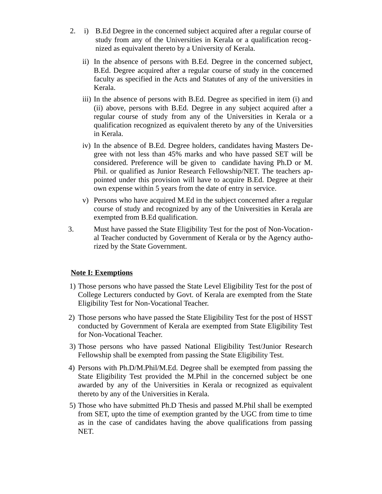- 2. i) B.Ed Degree in the concerned subject acquired after a regular course of study from any of the Universities in Kerala or a qualification recognized as equivalent thereto by a University of Kerala.
	- ii) In the absence of persons with B.Ed. Degree in the concerned subject, B.Ed. Degree acquired after a regular course of study in the concerned faculty as specified in the Acts and Statutes of any of the universities in Kerala.
	- iii) In the absence of persons with B.Ed. Degree as specified in item (i) and (ii) above, persons with B.Ed. Degree in any subject acquired after a regular course of study from any of the Universities in Kerala or a qualification recognized as equivalent thereto by any of the Universities in Kerala.
	- iv) In the absence of B.Ed. Degree holders, candidates having Masters Degree with not less than 45% marks and who have passed SET will be considered. Preference will be given to candidate having Ph.D or M. Phil. or qualified as Junior Research Fellowship/NET. The teachers appointed under this provision will have to acquire B.Ed. Degree at their own expense within 5 years from the date of entry in service.
	- v) Persons who have acquired M.Ed in the subject concerned after a regular course of study and recognized by any of the Universities in Kerala are exempted from B.Ed qualification.
- 3. Must have passed the State Eligibility Test for the post of Non-Vocational Teacher conducted by Government of Kerala or by the Agency authorized by the State Government.

## **Note I: Exemptions**

- 1) Those persons who have passed the State Level Eligibility Test for the post of College Lecturers conducted by Govt. of Kerala are exempted from the State Eligibility Test for Non-Vocational Teacher.
- 2) Those persons who have passed the State Eligibility Test for the post of HSST conducted by Government of Kerala are exempted from State Eligibility Test for Non-Vocational Teacher.
- 3) Those persons who have passed National Eligibility Test/Junior Research Fellowship shall be exempted from passing the State Eligibility Test.
- 4) Persons with Ph.D/M.Phil/M.Ed. Degree shall be exempted from passing the State Eligibility Test provided the M.Phil in the concerned subject be one awarded by any of the Universities in Kerala or recognized as equivalent thereto by any of the Universities in Kerala.
- 5) Those who have submitted Ph.D Thesis and passed M.Phil shall be exempted from SET, upto the time of exemption granted by the UGC from time to time as in the case of candidates having the above qualifications from passing NET.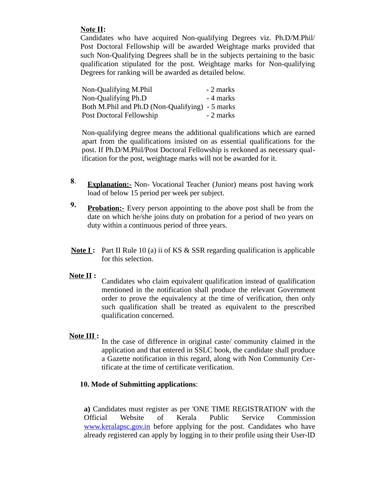## **Note II:**

Candidates who have acquired Non-qualifying Degrees viz. Ph.D/M.Phil/ Post Doctoral Fellowship will be awarded Weightage marks provided that such Non-Qualifying Degrees shall be in the subjects pertaining to the basic qualification stipulated for the post. Weightage marks for Non-qualifying Degrees for ranking will be awarded as detailed below.

| Non-Qualifying M.Phil                           | - 2 marks |
|-------------------------------------------------|-----------|
| Non-Qualifying Ph.D                             | - 4 marks |
| Both M.Phil and Ph.D (Non-Qualifying) - 5 marks |           |
| Post Doctoral Fellowship                        | - 2 marks |

Non-qualifying degree means the additional qualifications which are earned apart from the qualifications insisted on as essential qualifications for the post. If Ph.D/M.Phil/Post Doctoral Fellowship is reckoned as necessary qualification for the post, weightage marks will not be awarded for it.

- **8**. **Explanation:-** Non- Vocational Teacher (Junior) means post having work load of below 15 period per week per subject.
- **9. Probation:-** Every person appointing to the above post shall be from the date on which he/she joins duty on probation for a period of two years on duty within a continuous period of three years.
- **Note I:** Part II Rule 10 (a) ii of KS & SSR regarding qualification is applicable for this selection.

## **Note II :**

Candidates who claim equivalent qualification instead of qualification mentioned in the notification shall produce the relevant Government order to prove the equivalency at the time of verification, then only such qualification shall be treated as equivalent to the prescribed qualification concerned.

## **Note III :**

In the case of difference in original caste/ community claimed in the application and that entered in SSLC book, the candidate shall produce a Gazette notification in this regard, along with Non Community Certificate at the time of certificate verification.

#### **10. Mode of Submitting applications**:

**a)** Candidates must register as per 'ONE TIME REGISTRATION' with the Official Website of Kerala Public Service Commission [www.keralapsc.gov.in](http://www.kerealapsc.gov.in/) before applying for the post. Candidates who have already registered can apply by logging in to their profile using their User-ID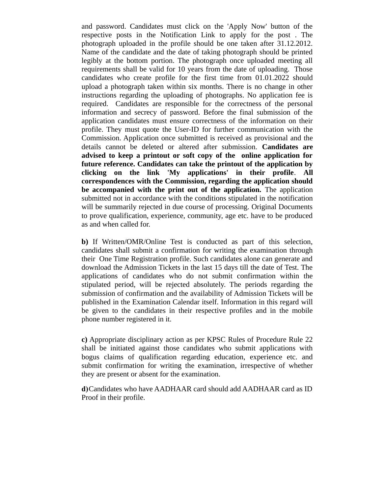and password. Candidates must click on the 'Apply Now' button of the respective posts in the Notification Link to apply for the post . The photograph uploaded in the profile should be one taken after 31.12.2012. Name of the candidate and the date of taking photograph should be printed legibly at the bottom portion. The photograph once uploaded meeting all requirements shall be valid for 10 years from the date of uploading. Those candidates who create profile for the first time from 01.01.2022 should upload a photograph taken within six months. There is no change in other instructions regarding the uploading of photographs. No application fee is required. Candidates are responsible for the correctness of the personal information and secrecy of password. Before the final submission of the application candidates must ensure correctness of the information on their profile. They must quote the User-ID for further communication with the Commission. Application once submitted is received as provisional and the details cannot be deleted or altered after submission. **Candidates are advised to keep a printout or soft copy of the online application for future reference. Candidates can take the printout of the application by clicking on the link 'My applications' in their profile**. **All correspondences with the Commission, regarding the application should be accompanied with the print out of the application.** The application submitted not in accordance with the conditions stipulated in the notification will be summarily rejected in due course of processing. Original Documents to prove qualification, experience, community, age etc. have to be produced as and when called for.

**b)** If Written/OMR/Online Test is conducted as part of this selection, candidates shall submit a confirmation for writing the examination through their One Time Registration profile. Such candidates alone can generate and download the Admission Tickets in the last 15 days till the date of Test. The applications of candidates who do not submit confirmation within the stipulated period, will be rejected absolutely. The periods regarding the submission of confirmation and the availability of Admission Tickets will be published in the Examination Calendar itself. Information in this regard will be given to the candidates in their respective profiles and in the mobile phone number registered in it.

**c)** Appropriate disciplinary action as per KPSC Rules of Procedure Rule 22 shall be initiated against those candidates who submit applications with bogus claims of qualification regarding education, experience etc. and submit confirmation for writing the examination, irrespective of whether they are present or absent for the examination.

**d)**Candidates who have AADHAAR card should add AADHAAR card as ID Proof in their profile.